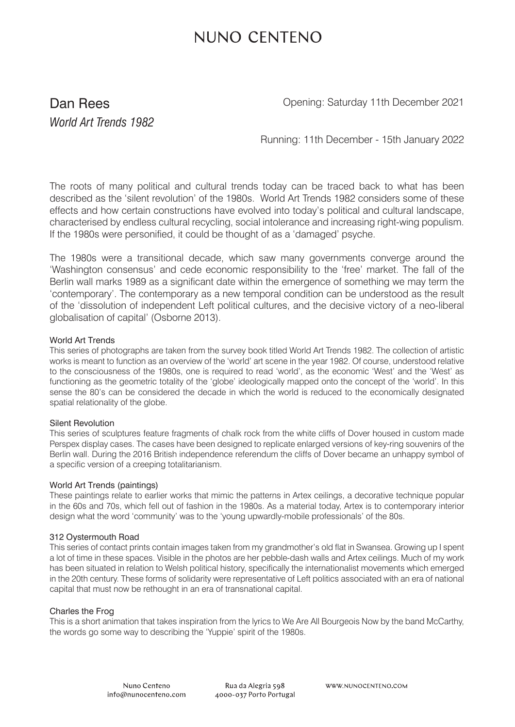# NUNO CENTENO

### Dan Rees *World Art Trends 1982*

Opening: Saturday 11th December 2021

Running: 11th December - 15th January 2022

The roots of many political and cultural trends today can be traced back to what has been described as the 'silent revolution' of the 1980s. World Art Trends 1982 considers some of these effects and how certain constructions have evolved into today's political and cultural landscape, characterised by endless cultural recycling, social intolerance and increasing right-wing populism. If the 1980s were personified, it could be thought of as a 'damaged' psyche.

The 1980s were a transitional decade, which saw many governments converge around the 'Washington consensus' and cede economic responsibility to the 'free' market. The fall of the Berlin wall marks 1989 as a significant date within the emergence of something we may term the 'contemporary'. The contemporary as a new temporal condition can be understood as the result of the 'dissolution of independent Left political cultures, and the decisive victory of a neo-liberal globalisation of capital' (Osborne 2013).

#### World Art Trends

This series of photographs are taken from the survey book titled World Art Trends 1982. The collection of artistic works is meant to function as an overview of the 'world' art scene in the year 1982. Of course, understood relative to the consciousness of the 1980s, one is required to read 'world', as the economic 'West' and the 'West' as functioning as the geometric totality of the 'globe' ideologically mapped onto the concept of the 'world'. In this sense the 80's can be considered the decade in which the world is reduced to the economically designated spatial relationality of the globe.

#### Silent Revolution

This series of sculptures feature fragments of chalk rock from the white cliffs of Dover housed in custom made Perspex display cases. The cases have been designed to replicate enlarged versions of key-ring souvenirs of the Berlin wall. During the 2016 British independence referendum the cliffs of Dover became an unhappy symbol of a specific version of a creeping totalitarianism.

#### World Art Trends (paintings)

These paintings relate to earlier works that mimic the patterns in Artex ceilings, a decorative technique popular in the 60s and 70s, which fell out of fashion in the 1980s. As a material today, Artex is to contemporary interior design what the word 'community' was to the 'young upwardly-mobile professionals' of the 80s.

#### 312 Oystermouth Road

This series of contact prints contain images taken from my grandmother's old flat in Swansea. Growing up I spent a lot of time in these spaces. Visible in the photos are her pebble-dash walls and Artex ceilings. Much of my work has been situated in relation to Welsh political history, specifically the internationalist movements which emerged in the 20th century. These forms of solidarity were representative of Left politics associated with an era of national capital that must now be rethought in an era of transnational capital.

#### Charles the Frog

This is a short animation that takes inspiration from the lyrics to We Are All Bourgeois Now by the band McCarthy, the words go some way to describing the 'Yuppie' spirit of the 1980s.